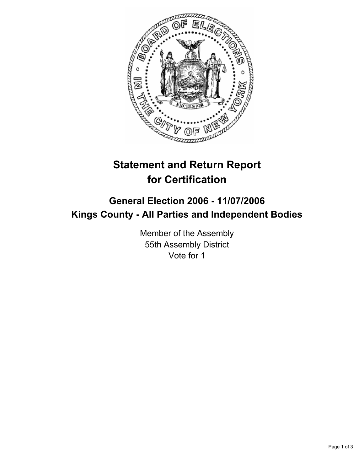

## **Statement and Return Report for Certification**

## **General Election 2006 - 11/07/2006 Kings County - All Parties and Independent Bodies**

Member of the Assembly 55th Assembly District Vote for 1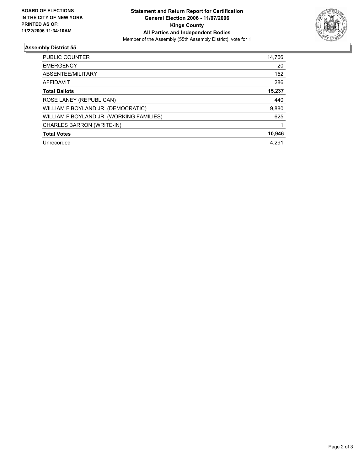

## **Assembly District 55**

| <b>PUBLIC COUNTER</b>                    | 14,766 |
|------------------------------------------|--------|
| <b>EMERGENCY</b>                         | 20     |
| ABSENTEE/MILITARY                        | 152    |
| AFFIDAVIT                                | 286    |
| <b>Total Ballots</b>                     | 15,237 |
| ROSE LANEY (REPUBLICAN)                  | 440    |
| WILLIAM F BOYLAND JR. (DEMOCRATIC)       | 9,880  |
| WILLIAM F BOYLAND JR. (WORKING FAMILIES) | 625    |
| CHARLES BARRON (WRITE-IN)                |        |
| <b>Total Votes</b>                       | 10,946 |
| Unrecorded                               | 4.291  |